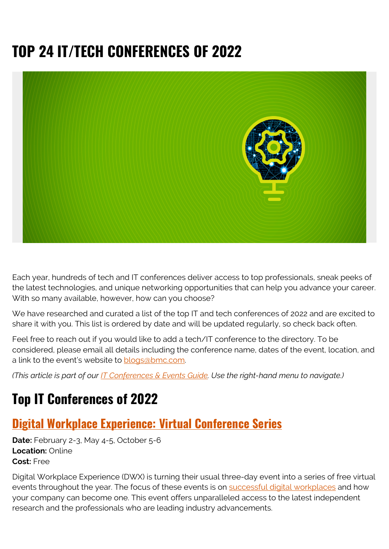# **TOP 24 IT/TECH CONFERENCES OF 2022**



Each year, hundreds of tech and IT conferences deliver access to top professionals, sneak peeks of the latest technologies, and unique networking opportunities that can help you advance your career. With so many available, however, how can you choose?

We have researched and curated a list of the top IT and tech conferences of 2022 and are excited to share it with you. This list is ordered by date and will be updated regularly, so check back often.

Feel free to reach out if you would like to add a tech/IT conference to the directory. To be considered, please email all details including the conference name, dates of the event, location, and a link to the event's website to [blogs@bmc.com.](mailto:blogs@bmc.com)

*(This article is part of our [IT Conferences & Events Guide](https://blogs.bmc.com/blogs/tech-it-conferences/). Use the right-hand menu to navigate.)*

## **Top IT Conferences of 2022**

### **[Digital Workplace Experience: Virtual Conference Series](https://www.dwexperience.com/)**

**Date:** February 2-3, May 4-5, October 5-6 **Location:** Online **Cost:** Free

Digital Workplace Experience (DWX) is turning their usual three-day event into a series of free virtual events throughout the year. The focus of these events is on [successful digital workplaces](https://blogs.bmc.com/it-solutions/bmc-helix-digital-workplace.html) and how your company can become one. This event offers unparalleled access to the latest independent research and the professionals who are leading industry advancements.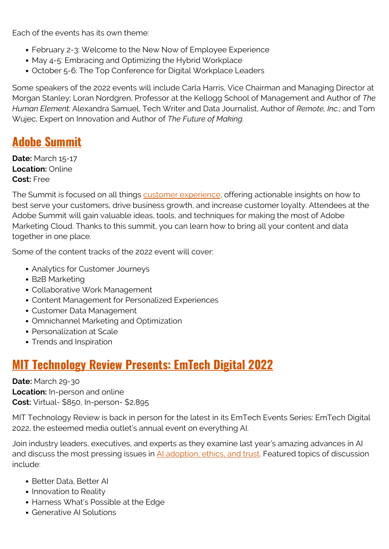Each of the events has its own theme:

- February 2-3: Welcome to the New Now of Employee Experience
- May 4-5: Embracing and Optimizing the Hybrid Workplace
- October 5-6: The Top Conference for Digital Workplace Leaders

Some speakers of the 2022 events will include Carla Harris, Vice Chairman and Managing Director at Morgan Stanley; Loran Nordgren, Professor at the Kellogg School of Management and Author of *The Human Element;* Alexandra Samuel, Tech Writer and Data Journalist, Author of *Remote, Inc.;* and Tom Wujec, Expert on Innovation and Author of *The Future of Making.* 

### **[Adobe Summit](https://summit.adobe.com/na/)**

**Date:** March 15-17 **Location:** Online **Cost:** Free

The Summit is focused on all things **customer experience**, offering actionable insights on how to best serve your customers, drive business growth, and increase customer loyalty. Attendees at the Adobe Summit will gain valuable ideas, tools, and techniques for making the most of Adobe Marketing Cloud. Thanks to this summit, you can learn how to bring all your content and data together in one place.

Some of the content tracks of the 2022 event will cover:

- Analytics for Customer Journeys
- B2B Marketing
- Collaborative Work Management
- Content Management for Personalized Experiences
- Customer Data Management
- Omnichannel Marketing and Optimization
- Personalization at Scale
- Trends and Inspiration

### **[MIT Technology Review Presents: EmTech Digital 2022](https://event.technologyreview.com/emtech-digital-2022/home)**

**Date:** March 29-30 **Location:** In-person and online **Cost:** Virtual- \$850, In-person- \$2,895

MIT Technology Review is back in person for the latest in its EmTech Events Series: EmTech Digital 2022, the esteemed media outlet's annual event on everything AI.

Join industry leaders, executives, and experts as they examine last year's amazing advances in AI and discuss the most pressing issues in [AI adoption, ethics, and trust](https://blogs.bmc.com/blogs/data-ethics-responsibility/). Featured topics of discussion include:

- Better Data, Better AI
- Innovation to Reality
- Harness What's Possible at the Edge
- Generative AI Solutions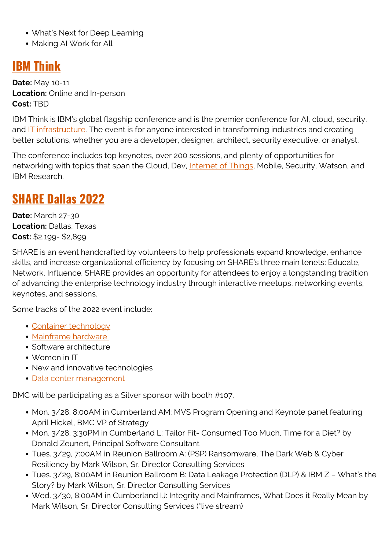- What's Next for Deep Learning
- Making AI Work for All

### **[IBM Think](https://www.ibm.com/events/think/)**

**Date:** May 10-11 **Location:** Online and In-person **Cost:** TBD

IBM Think is IBM's global flagship conference and is the premier conference for AI, cloud, security, and [IT infrastructure.](https://blogs.bmc.com/blogs/it-infrastructure/) The event is for anyone interested in transforming industries and creating better solutions, whether you are a developer, designer, architect, security executive, or analyst.

The conference includes top keynotes, over 200 sessions, and plenty of opportunities for networking with topics that span the Cloud, Dev, *Internet of Things*, Mobile, Security, Watson, and IBM Research.

### **[SHARE Dallas 2022](https://www.share.org/Events/SHARE-Dallas-2022)**

**Date:** March 27-30 **Location:** Dallas, Texas **Cost:** \$2,199- \$2,899

SHARE is an event handcrafted by volunteers to help professionals expand knowledge, enhance skills, and increase organizational efficiency by focusing on SHARE's three main tenets: Educate, Network, Influence. SHARE provides an opportunity for attendees to enjoy a longstanding tradition of advancing the enterprise technology industry through interactive meetups, networking events, keynotes, and sessions.

Some tracks of the 2022 event include:

- [Container technology](https://blogs.bmc.com/blogs/what-is-a-container-containerization-explained/)
- [Mainframe hardware](https://blogs.bmc.com/it-solutions/bmc-ami-automated-mainframe-intelligence.html)
- Software architecture
- Women in IT
- New and innovative technologies
- [Data center management](https://blogs.bmc.com/blogs/dcim-data-center-infrastructure-management/)

BMC will be participating as a Silver sponsor with booth #107.

- Mon. 3/28, 8:00AM in Cumberland AM: MVS Program Opening and Keynote panel featuring April Hickel, BMC VP of Strategy
- Mon. 3/28, 3:30PM in Cumberland L: Tailor Fit- Consumed Too Much, Time for a Diet? by Donald Zeunert, Principal Software Consultant
- Tues. 3/29, 7:00AM in Reunion Ballroom A: (PSP) Ransomware, The Dark Web & Cyber Resiliency by Mark Wilson, Sr. Director Consulting Services
- Tues. 3/29, 8:00AM in Reunion Ballroom B: Data Leakage Protection (DLP) & IBM Z What's the Story? by Mark Wilson, Sr. Director Consulting Services
- Wed. 3/30, 8:00AM in Cumberland IJ: Integrity and Mainframes, What Does it Really Mean by Mark Wilson, Sr. Director Consulting Services (\*live stream)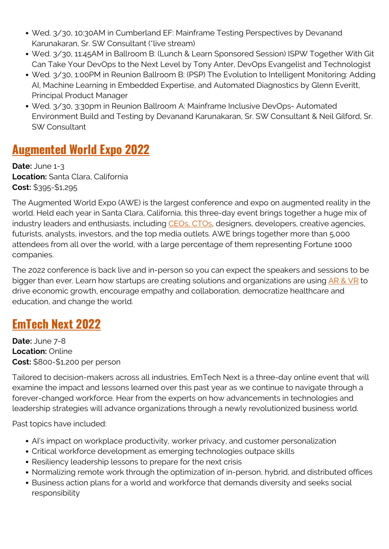- Wed. 3/30, 10:30AM in Cumberland EF: Mainframe Testing Perspectives by Devanand Karunakaran, Sr. SW Consultant (\*live stream)
- Wed. 3/30, 11:45AM in Ballroom B: (Lunch & Learn Sponsored Session) ISPW Together With Git Can Take Your DevOps to the Next Level by Tony Anter, DevOps Evangelist and Technologist
- Wed. 3/30, 1:00PM in Reunion Ballroom B: (PSP) The Evolution to Intelligent Monitoring: Adding AI, Machine Learning in Embedded Expertise, and Automated Diagnostics by Glenn Everitt, Principal Product Manager
- Wed. 3/30, 3:30pm in Reunion Ballroom A: Mainframe Inclusive DevOps- Automated Environment Build and Testing by Devanand Karunakaran, Sr. SW Consultant & Neil Gilford, Sr. SW Consultant

### **[Augmented World Expo 2022](https://www.awexr.com/usa-2022/)**

**Date:** June 1-3 **Location:** Santa Clara, California **Cost:** \$395-\$1,295

The Augmented World Expo (AWE) is the largest conference and expo on augmented reality in the world. Held each year in Santa Clara, California, this three-day event brings together a huge mix of industry leaders and enthusiasts, including [CEOs, CTOs](https://blogs.bmc.com/blogs/cio-vs-cto-whats-the-difference/), designers, developers, creative agencies, futurists, analysts, investors, and the top media outlets. AWE brings together more than 5,000 attendees from all over the world, with a large percentage of them representing Fortune 1000 companies.

The 2022 conference is back live and in-person so you can expect the speakers and sessions to be bigger than ever. Learn how startups are creating solutions and organizations are using [AR & VR](https://blogs.bmc.com/blogs/augmented-reality-cloud/) to drive economic growth, encourage empathy and collaboration, democratize healthcare and education, and change the world.

### **[EmTech Next 2022](https://event.technologyreview.com/emtech-next-2021/#:~:text=Save%20the%20date%20for%20EmTech,June%207%2D8%2C%202022&text=Featuring%20live%20presentations%2C%20interactive%20Q%26A,your%20business%20to%20move%20forward.)**

**Date:** June 7-8 **Location:** Online **Cost:** \$800-\$1,200 per person

Tailored to decision-makers across all industries, EmTech Next is a three-day online event that will examine the impact and lessons learned over this past year as we continue to navigate through a forever-changed workforce. Hear from the experts on how advancements in technologies and leadership strategies will advance organizations through a newly revolutionized business world.

Past topics have included:

- AI's impact on workplace productivity, worker privacy, and customer personalization
- Critical workforce development as emerging technologies outpace skills
- Resiliency leadership lessons to prepare for the next crisis
- Normalizing remote work through the optimization of in-person, hybrid, and distributed offices
- Business action plans for a world and workforce that demands diversity and seeks social responsibility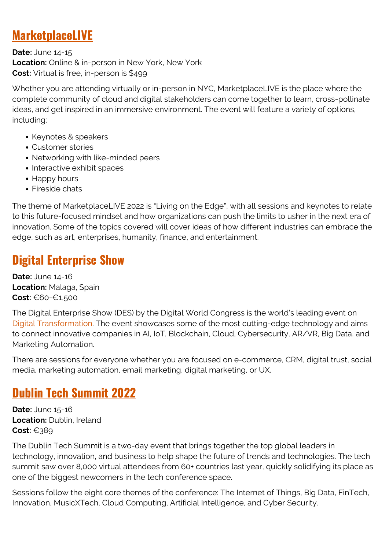### **[MarketplaceLIVE](https://www.marketplacelive.com/)**

**Date:** June 14-15 **Location:** Online & in-person in New York, New York **Cost:** Virtual is free, in-person is \$499

Whether you are attending virtually or in-person in NYC, MarketplaceLIVE is the place where the complete community of cloud and digital stakeholders can come together to learn, cross-pollinate ideas, and get inspired in an immersive environment. The event will feature a variety of options, including:

- Keynotes & speakers
- Customer stories
- Networking with like-minded peers
- Interactive exhibit spaces
- Happy hours
- Fireside chats

The theme of MarketplaceLIVE 2022 is "Living on the Edge", with all sessions and keynotes to relate to this future-focused mindset and how organizations can push the limits to usher in the next era of innovation. Some of the topics covered will cover ideas of how different industries can embrace the edge, such as art, enterprises, humanity, finance, and entertainment.

### **[Digital Enterprise Show](https://www.des-show.com/)**

**Date:** June 14-16 **Location:** Malaga, Spain **Cost:** €60-€1,500

The Digital Enterprise Show (DES) by the Digital World Congress is the world's leading event on [Digital Transformation](https://blogs.bmc.com/blogs/what-is-digital-transformation/). The event showcases some of the most cutting-edge technology and aims to connect innovative companies in AI, IoT, Blockchain, Cloud, Cybersecurity, AR/VR, Big Data, and Marketing Automation.

There are sessions for everyone whether you are focused on e-commerce, CRM, digital trust, social media, marketing automation, email marketing, digital marketing, or UX.

### **[Dublin Tech Summit 2022](https://dublintechsummit.tech/)**

**Date:** June 15-16 **Location:** Dublin, Ireland **Cost:** €389

The Dublin Tech Summit is a two-day event that brings together the top global leaders in technology, innovation, and business to help shape the future of trends and technologies. The tech summit saw over 8,000 virtual attendees from 60+ countries last year, quickly solidifying its place as one of the biggest newcomers in the tech conference space.

Sessions follow the eight core themes of the conference: The Internet of Things, Big Data, FinTech, Innovation, MusicXTech, Cloud Computing, Artificial Intelligence, and Cyber Security.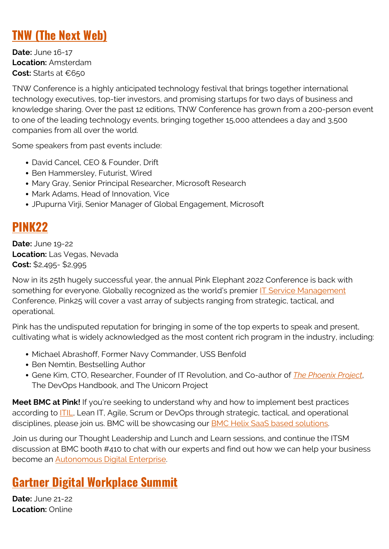### **[TNW \(The Next Web\)](https://thenextweb.com/conference)**

**Date:** June 16-17 **Location:** Amsterdam **Cost:** Starts at €650

TNW Conference is a highly anticipated technology festival that brings together international technology executives, top-tier investors, and promising startups for two days of business and knowledge sharing. Over the past 12 editions, TNW Conference has grown from a 200-person event to one of the leading technology events, bringing together 15,000 attendees a day and 3,500 companies from all over the world.

Some speakers from past events include:

- David Cancel, CEO & Founder, Drift
- Ben Hammersley, Futurist, Wired
- Mary Gray, Senior Principal Researcher, Microsoft Research
- Mark Adams, Head of Innovation, Vice
- JPupurna Virji, Senior Manager of Global Engagement, Microsoft

### **[PINK22](https://www.pinkelephant.com/en-us/Pink22/Home)**

**Date:** June 19-22 **Location:** Las Vegas, Nevada **Cost:** \$2,495- \$2,995

Now in its 25th hugely successful year, the annual Pink Elephant 2022 Conference is back with something for everyone. Globally recognized as the world's premier [IT Service Management](https://blogs.bmc.com/blogs/itsm/) Conference, Pink25 will cover a vast array of subjects ranging from strategic, tactical, and operational.

Pink has the undisputed reputation for bringing in some of the top experts to speak and present, cultivating what is widely acknowledged as the most content rich program in the industry, including:

- Michael Abrashoff, Former Navy Commander, USS Benfold
- Ben Nemtin, Bestselling Author
- Gene Kim, CTO, Researcher, Founder of IT Revolution, and Co-author of *[The Phoenix Project](https://blogs.bmc.com/blogs/book-review-phoenix-project/)*, The DevOps Handbook, and The Unicorn Project

**Meet BMC at Pink!** If you're seeking to understand why and how to implement best practices according to **ITIL**, Lean IT, Agile, Scrum or DevOps through strategic, tactical, and operational disciplines, please join us. BMC will be showcasing our **BMC Helix SaaS based solutions**.

Join us during our Thought Leadership and Lunch and Learn sessions, and continue the ITSM discussion at BMC booth #410 to chat with our experts and find out how we can help your business become an [Autonomous Digital Enterprise](https://blogs.bmc.com/corporate/autonomous-digital-enterprise.html).

### **[Gartner Digital Workplace Summit](https://www.gartner.com/en/conferences/na/digital-workplace-us)**

**Date:** June 21-22 **Location:** Online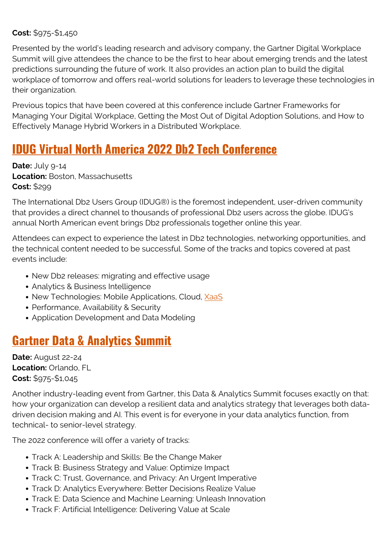#### **Cost:** \$975-\$1,450

Presented by the world's leading research and advisory company, the Gartner Digital Workplace Summit will give attendees the chance to be the first to hear about emerging trends and the latest predictions surrounding the future of work. It also provides an action plan to build the digital workplace of tomorrow and offers real-world solutions for leaders to leverage these technologies in their organization.

Previous topics that have been covered at this conference include Gartner Frameworks for Managing Your Digital Workplace, Getting the Most Out of Digital Adoption Solutions, and How to Effectively Manage Hybrid Workers in a Distributed Workplace.

### **[IDUG Virtual North America 2022 Db2 Tech Conference](https://www.idug.org/events/calendar/north-american-conference-2022)**

**Date: July 9-14 Location:** Boston, Massachusetts **Cost:** \$299

The International Db2 Users Group (IDUG®) is the foremost independent, user-driven community that provides a direct channel to thousands of professional Db2 users across the globe. IDUG's annual North American event brings Db2 professionals together online this year.

Attendees can expect to experience the latest in Db2 technologies, networking opportunities, and the technical content needed to be successful. Some of the tracks and topics covered at past events include:

- New Db2 releases: migrating and effective usage
- Analytics & Business Intelligence
- New Technologies: Mobile Applications, Cloud, [XaaS](https://blogs.bmc.com/blogs/xaas-everything-as-a-service/)
- Performance, Availability & Security
- Application Development and Data Modeling

### **[Gartner Data & Analytics Summit](https://www.gartner.com/en/conferences/na/data-analytics-us)**

**Date:** August 22-24 **Location:** Orlando, FL **Cost:** \$975-\$1,045

Another industry-leading event from Gartner, this Data & Analytics Summit focuses exactly on that: how your organization can develop a resilient data and analytics strategy that leverages both datadriven decision making and AI. This event is for everyone in your data analytics function, from technical- to senior-level strategy.

The 2022 conference will offer a variety of tracks:

- Track A: Leadership and Skills: Be the Change Maker
- Track B: Business Strategy and Value: Optimize Impact
- Track C: Trust, Governance, and Privacy: An Urgent Imperative
- Track D: Analytics Everywhere: Better Decisions Realize Value
- Track E: Data Science and Machine Learning: Unleash Innovation
- Track F: Artificial Intelligence: Delivering Value at Scale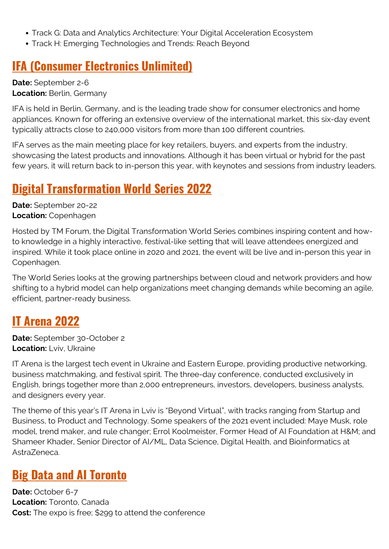- Track G: Data and Analytics Architecture: Your Digital Acceleration Ecosystem
- Track H: Emerging Technologies and Trends: Reach Beyond

### **[IFA \(Consumer Electronics Unlimited\)](https://b2b.ifa-berlin.com/en/)**

**Date:** September 2-6 **Location:** Berlin, Germany

IFA is held in Berlin, Germany, and is the leading trade show for consumer electronics and home appliances. Known for offering an extensive overview of the international market, this six-day event typically attracts close to 240,000 visitors from more than 100 different countries.

IFA serves as the main meeting place for key retailers, buyers, and experts from the industry, showcasing the latest products and innovations. Although it has been virtual or hybrid for the past few years, it will return back to in-person this year, with keynotes and sessions from industry leaders.

### **[Digital Transformation World Series 2022](https://dtw.tmforum.org/)**

**Date:** September 20-22 **Location:** Copenhagen

Hosted by TM Forum, the Digital Transformation World Series combines inspiring content and howto knowledge in a highly interactive, festival-like setting that will leave attendees energized and inspired. While it took place online in 2020 and 2021, the event will be live and in-person this year in Copenhagen.

The World Series looks at the growing partnerships between cloud and network providers and how shifting to a hybrid model can help organizations meet changing demands while becoming an agile, efficient, partner-ready business.

### **[IT Arena 2022](https://itarena.ua/)**

**Date:** September 30-October 2 **Location:** Lviv, Ukraine

IT Arena is the largest tech event in Ukraine and Eastern Europe, providing productive networking, business matchmaking, and festival spirit. The three-day conference, conducted exclusively in English, brings together more than 2,000 entrepreneurs, investors, developers, business analysts, and designers every year.

The theme of this year's IT Arena in Lviv is "Beyond Virtual", with tracks ranging from Startup and Business, to Product and Technology. Some speakers of the 2021 event included: Maye Musk, role model, trend maker, and rule changer; Errol Koolmeister, Former Head of AI Foundation at H&M; and Shameer Khader, Senior Director of AI/ML, Data Science, Digital Health, and Bioinformatics at AstraZeneca.

### **[Big Data and AI Toronto](https://www.bigdata-toronto.com/)**

**Date:** October 6-7 **Location:** Toronto, Canada **Cost:** The expo is free; \$299 to attend the conference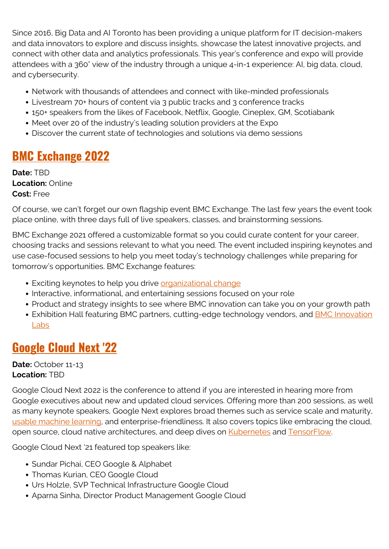Since 2016, Big Data and AI Toronto has been providing a unique platform for IT decision-makers and data innovators to explore and discuss insights, showcase the latest innovative projects, and connect with other data and analytics professionals. This year's conference and expo will provide attendees with a 360° view of the industry through a unique 4-in-1 experience: AI, big data, cloud, and cybersecurity.

- Network with thousands of attendees and connect with like-minded professionals
- Livestream 70+ hours of content via 3 public tracks and 3 conference tracks
- 150+ speakers from the likes of Facebook, Netflix, Google, Cineplex, GM, Scotiabank
- Meet over 20 of the industry's leading solution providers at the Expo
- Discover the current state of technologies and solutions via demo sessions

### **[BMC Exchange 2022](https://exchange.bmc.com/)**

**Date:** TBD **Location:** Online **Cost:** Free

Of course, we can't forget our own flagship event BMC Exchange. The last few years the event took place online, with three days full of live speakers, classes, and brainstorming sessions.

BMC Exchange 2021 offered a customizable format so you could curate content for your career, choosing tracks and sessions relevant to what you need. The event included inspiring keynotes and use case-focused sessions to help you meet today's technology challenges while preparing for tomorrow's opportunities. BMC Exchange features:

- Exciting keynotes to help you drive *organizational change*
- Interactive, informational, and entertaining sessions focused on your role
- Product and strategy insights to see where BMC innovation can take you on your growth path
- Exhibition Hall featuring BMC partners, cutting-edge technology vendors, and **BMC Innovation** [Labs](https://blogs.bmc.com/corporate/bmc-innovation-labs.html)

### **[Google Cloud Next '22](https://cloud.withgoogle.com/next)**

**Date:** October 11-13 **Location:** TBD

Google Cloud Next 2022 is the conference to attend if you are interested in hearing more from Google executives about new and updated cloud services. Offering more than 200 sessions, as well as many keynote speakers, Google Next explores broad themes such as service scale and maturity, [usable machine learning,](https://blogs.bmc.com/blogs/machine-learning-hype-vs-reality/) and enterprise-friendliness. It also covers topics like embracing the cloud, open source, cloud native architectures, and deep dives on [Kubernetes](https://blogs.bmc.com/blogs/what-is-kubernetes) and [TensorFlow](https://blogs.bmc.com/blogs/tensorflow-vs-keras/).

Google Cloud Next '21 featured top speakers like:

- Sundar Pichai, CEO Google & Alphabet
- Thomas Kurian, CEO Google Cloud
- Urs Holzle, SVP Technical Infrastructure Google Cloud
- Aparna Sinha, Director Product Management Google Cloud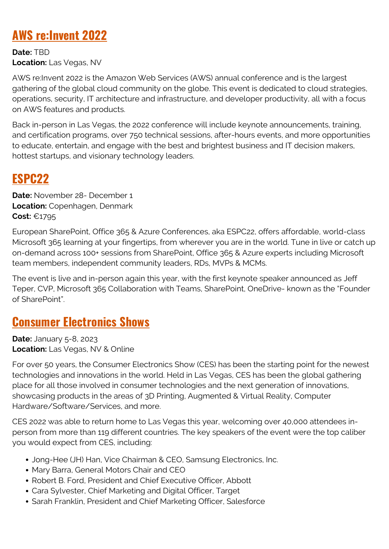### **[AWS re:Invent 2022](https://reinvent.awsevents.com/)**

**Date:** TBD **Location:** Las Vegas, NV

AWS re:Invent 2022 is the Amazon Web Services (AWS) annual conference and is the largest gathering of the global cloud community on the globe. This event is dedicated to cloud strategies, operations, security, IT architecture and infrastructure, and developer productivity, all with a focus on AWS features and products.

Back in-person in Las Vegas, the 2022 conference will include keynote announcements, training, and certification programs, over 750 technical sessions, after-hours events, and more opportunities to educate, entertain, and engage with the best and brightest business and IT decision makers, hottest startups, and visionary technology leaders.

### **[ESPC22](https://www.sharepointeurope.com/)**

**Date:** November 28- December 1 **Location:** Copenhagen, Denmark **Cost:** €1795

European SharePoint, Office 365 & Azure Conferences, aka ESPC22, offers affordable, world-class Microsoft 365 learning at your fingertips, from wherever you are in the world. Tune in live or catch up on-demand across 100+ sessions from SharePoint, Office 365 & Azure experts including Microsoft team members, independent community leaders, RDs, MVPs & MCMs.

The event is live and in-person again this year, with the first keynote speaker announced as Jeff Teper, CVP, Microsoft 365 Collaboration with Teams, SharePoint, OneDrive- known as the "Founder of SharePoint".

### **[Consumer Electronics Shows](https://www.ces.tech/)**

**Date:** January 5-8, 2023 **Location:** Las Vegas, NV & Online

For over 50 years, the Consumer Electronics Show (CES) has been the starting point for the newest technologies and innovations in the world. Held in Las Vegas, CES has been the global gathering place for all those involved in consumer technologies and the next generation of innovations, showcasing products in the areas of 3D Printing, Augmented & Virtual Reality, Computer Hardware/Software/Services, and more.

CES 2022 was able to return home to Las Vegas this year, welcoming over 40,000 attendees inperson from more than 119 different countries. The key speakers of the event were the top caliber you would expect from CES, including:

- Jong-Hee (JH) Han, Vice Chairman & CEO, Samsung Electronics, Inc.
- Mary Barra, General Motors Chair and CEO
- Robert B. Ford, President and Chief Executive Officer, Abbott
- Cara Sylvester, Chief Marketing and Digital Officer, Target
- Sarah Franklin, President and Chief Marketing Officer, Salesforce